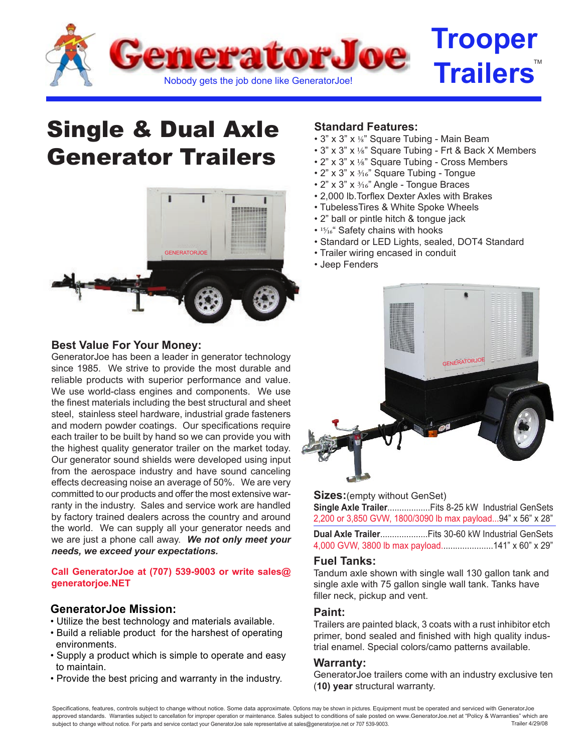

# Single & Dual Axle Generator Trailers



## **Best Value For Your Money:**

GeneratorJoe has been a leader in generator technology since 1985. We strive to provide the most durable and reliable products with superior performance and value. We use world-class engines and components. We use the finest materials including the best structural and sheet steel, stainless steel hardware, industrial grade fasteners and modern powder coatings. Our specifications require each trailer to be built by hand so we can provide you with the highest quality generator trailer on the market today. Our generator sound shields were developed using input from the aerospace industry and have sound canceling effects decreasing noise an average of 50%. We are very committed to our products and offer the most extensive warranty in the industry. Sales and service work are handled by factory trained dealers across the country and around the world. We can supply all your generator needs and we are just a phone call away. *We not only meet your needs, we exceed your expectations.*

#### **Call GeneratorJoe at (707) 539-9003 or write sales@ generatorjoe.NET**

## **GeneratorJoe Mission:**

- Utilize the best technology and materials available.
- Build a reliable product for the harshest of operating environments.
- Supply a product which is simple to operate and easy to maintain.
- Provide the best pricing and warranty in the industry.

## **Standard Features:**

- $\cdot$  3" x 3" x 1/8" Square Tubing Main Beam
- 3" x 3" x 1/8" Square Tubing Frt & Back X Members
- 2" x 3" x 1/8" Square Tubing Cross Members
- 2" x 3" x  $\frac{3}{16}$ " Square Tubing Tongue
- $\cdot$  2" x 3" x  $\frac{3}{16}$ " Angle Tongue Braces
- 2,000 lb.Torflex Dexter Axles with Brakes
- TubelessTires & White Spoke Wheels
- 2" ball or pintle hitch & tongue jack
- 15/16" Safety chains with hooks
- Standard or LED Lights, sealed, DOT4 Standard
- Trailer wiring encased in conduit
- Jeep Fenders



**Sizes:**(empty without GenSet) **Single Axle Trailer**..................Fits 8-25 kW Industrial GenSets 2,200 or 3,850 GVW, 1800/3090 lb max payload...94" x 56" x 28"

**Dual Axle Trailer**....................Fits 30-60 kW Industrial GenSets 4,000 GVW, 3800 lb max payload......................141" x 60" x 29"

## **Fuel Tanks:**

Tandum axle shown with single wall 130 gallon tank and single axle with 75 gallon single wall tank. Tanks have filler neck, pickup and vent.

### **Paint:**

Trailers are painted black, 3 coats with a rust inhibitor etch primer, bond sealed and finished with high quality industrial enamel. Special colors/camo patterns available.

#### **Warranty:**

GeneratorJoe trailers come with an industry exclusive ten (**10) year** structural warranty.

Specifications, features, controls subject to change without notice. Some data approximate. Options may be shown in pictures. Equipment must be operated and serviced with GeneratorJoe approved standards. Warranties subject to cancellation for improper operation or maintenance. Sales subject to conditions of sale posted on www.GeneratorJoe.net at "Policy & Warranties" which are subject to change without notice. For parts and service contact your GeneratorJoe sale representative at sales@generatorjoe.net or 707 539-9003. Trailer 4/29/08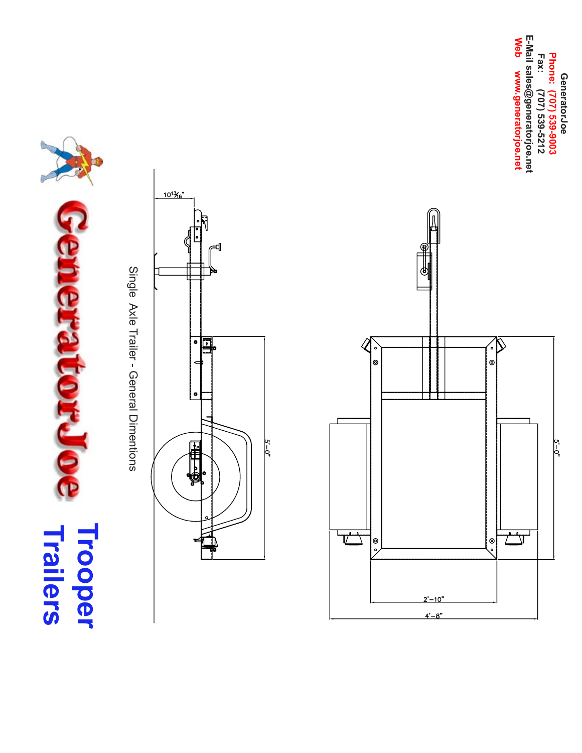$\overline{\phantom{a}}$ **Trailers Trooper** 

Single Axle Trailer - General Dimentions Single Axle Trailer - General Dimentions





E-Mail sales@generatorjoe.net Web www.generatorjoe.net **E-Mail sales@generatorjoe.netWeb www.generatorjoe.net** GeneratorJoe<br>Phone: (707) 539-9003<br>Fax: (707) 539-5212 **Phone: (707) 539-9003 Fax: (707) 539-5212 GeneratorJoe**